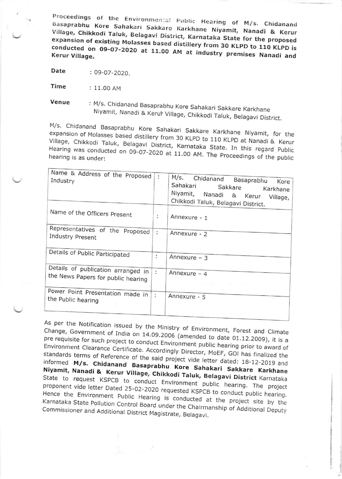Proceedings of the Environmental Public Hearing of M/s. Chidanand Basaprabhu Kore Sahakari Sakkare Karkhane Niyamit, Nanadi & Kerur Village, Chikkodi Taluk, Belagavi District, Karnataka State for the proposed expansion of existing Molasses based distillery from 30 KLPD to 110 KLPD is conducted on 09-07-2020 at 11.00 AM at industry premises Nanadi and

Date : 09-07-2020.

Time : 11.00 AM

: M/s. Chidanand Basaprabhu Kore Sahakari Sakkare Karkhane Venue Niyamit, Nanadi & Kerur Village, Chikkodi Taluk, Belagavi District.

M/s. Chidanand Basaprabhu Kore Sahakari Sakkare Karkhane Niyamit, for the expansion of Molasses based distillery from 30 KLPD to 110 KLPD at Nanadi & Kerur Village, Chikkodi Taluk, Belagavi District, Karnataka State. In this regard Public Hearing was conducted on 09-07-2020 at 11.00 AM. The Proceedings of the public

| Name & Address of the Proposed<br>Industry                                    | ÷              | M/s. Chidanand Basaprabhu<br>Kore<br>Sahakari<br>Sakkare<br>Karkhane<br>Niyamit, Nanadi & Kerur<br>Village,<br>Chikkodi Taluk, Belagavi District.                                                                     |
|-------------------------------------------------------------------------------|----------------|-----------------------------------------------------------------------------------------------------------------------------------------------------------------------------------------------------------------------|
| Name of the Officers Present                                                  | $\ddot{\cdot}$ | Annexure - 1                                                                                                                                                                                                          |
| Representatives of the Proposed<br>Industry Present                           | ÷              | Annexure - 2                                                                                                                                                                                                          |
| Details of Public Participated                                                | ÷              | Annexure $-3$                                                                                                                                                                                                         |
| Details of publication arranged in $ :$<br>the News Papers for public hearing |                | Annexure $-4$<br>$\label{eq:zeta} \begin{array}{rcl} z & = & \mathrm{arg}\{z\} \otimes \mathrm{arg}\{z\} \end{array} \qquad \begin{array}{rcl} \mathrm{Var}(\mathcal{X}) & = & \mathrm{Var}(\mathcal{X}) \end{array}$ |
| Power Point Presentation made in<br>the Public hearing                        | $\ddot{\cdot}$ | Annexure - 5                                                                                                                                                                                                          |

As per the Notification issued by the Ministry of Environment, Forest and Climate Change, Government of India on 14.09.2006 (amended to date 01.12.2009), it is a pre requisite for such project to conduct Environment public hearing prior to award of Environment Clearance Certificate. Accordingly Director, MoEF, GOI has finalized the standards terms of Reference of the said project vide letter dated: 18-12-2019 and informed M/s. Chidanand Basaprabhu Kore Sahakari Sakkare Karkhane Niyamit, Nanadi & Kerur Village, Chikkodi Taluk, Belagavi District Karnataka State to request KSPCB to conduct Environment public hearing. The project proponent vide letter Dated 25-02-2020 requested KSPCB to conduct public hearing. Hence the Environment Public Hearing is conducted at the project site by the Karnataka State Pollution Control Board under the Chairmanship of Additional Deputy Commissioner and Additional District Magistrate, Belagavi.